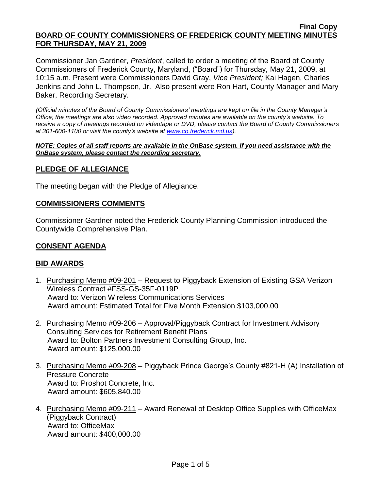#### **Final Copy BOARD OF COUNTY COMMISSIONERS OF FREDERICK COUNTY MEETING MINUTES FOR THURSDAY, MAY 21, 2009**

Commissioner Jan Gardner, *President*, called to order a meeting of the Board of County Commissioners of Frederick County, Maryland, ("Board") for Thursday, May 21, 2009, at 10:15 a.m. Present were Commissioners David Gray, *Vice President;* Kai Hagen, Charles Jenkins and John L. Thompson, Jr. Also present were Ron Hart, County Manager and Mary Baker, Recording Secretary.

*(Official minutes of the Board of County Commissioners' meetings are kept on file in the County Manager's Office; the meetings are also video recorded. Approved minutes are available on the county's website. To receive a copy of meetings recorded on videotape or DVD, please contact the Board of County Commissioners at 301-600-1100 or visit the county's website at [www.co.frederick.md.us\)](http://www.co.frederick.md.us/).*

#### *NOTE: Copies of all staff reports are available in the OnBase system. If you need assistance with the OnBase system, please contact the recording secretary.*

# **PLEDGE OF ALLEGIANCE**

The meeting began with the Pledge of Allegiance.

#### **COMMISSIONERS COMMENTS**

Commissioner Gardner noted the Frederick County Planning Commission introduced the Countywide Comprehensive Plan.

#### **CONSENT AGENDA**

## **BID AWARDS**

- 1. Purchasing Memo #09-201 Request to Piggyback Extension of Existing GSA Verizon Wireless Contract #FSS-GS-35F-0119P Award to: Verizon Wireless Communications Services Award amount: Estimated Total for Five Month Extension \$103,000.00
- 2. Purchasing Memo #09-206 Approval/Piggyback Contract for Investment Advisory Consulting Services for Retirement Benefit Plans Award to: Bolton Partners Investment Consulting Group, Inc. Award amount: \$125,000.00
- 3. Purchasing Memo #09-208 Piggyback Prince George's County #821-H (A) Installation of Pressure Concrete Award to: Proshot Concrete, Inc. Award amount: \$605,840.00
- 4. Purchasing Memo #09-211 Award Renewal of Desktop Office Supplies with OfficeMax (Piggyback Contract) Award to: OfficeMax Award amount: \$400,000.00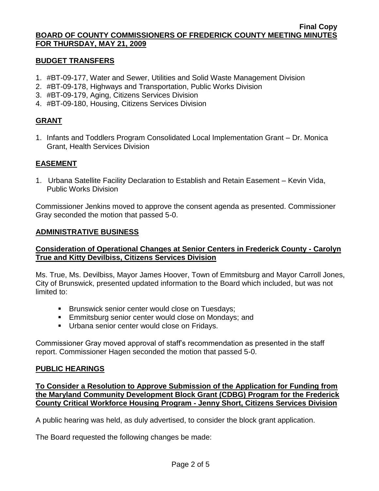#### **BUDGET TRANSFERS**

- 1. #BT-09-177, Water and Sewer, Utilities and Solid Waste Management Division
- 2. #BT-09-178, Highways and Transportation, Public Works Division
- 3. #BT-09-179, Aging, Citizens Services Division
- 4. #BT-09-180, Housing, Citizens Services Division

# **GRANT**

1. Infants and Toddlers Program Consolidated Local Implementation Grant – Dr. Monica Grant, Health Services Division

# **EASEMENT**

1. Urbana Satellite Facility Declaration to Establish and Retain Easement – Kevin Vida, Public Works Division

Commissioner Jenkins moved to approve the consent agenda as presented. Commissioner Gray seconded the motion that passed 5-0.

## **ADMINISTRATIVE BUSINESS**

# **Consideration of Operational Changes at Senior Centers in Frederick County - Carolyn True and Kitty Devilbiss, Citizens Services Division**

Ms. True, Ms. Devilbiss, Mayor James Hoover, Town of Emmitsburg and Mayor Carroll Jones, City of Brunswick, presented updated information to the Board which included, but was not limited to:

- **Brunswick senior center would close on Tuesdays;**
- **Emmitsburg senior center would close on Mondays; and**
- **Urbana senior center would close on Fridays.**

Commissioner Gray moved approval of staff's recommendation as presented in the staff report. Commissioner Hagen seconded the motion that passed 5-0.

## **PUBLIC HEARINGS**

**To Consider a Resolution to Approve Submission of the Application for Funding from the Maryland Community Development Block Grant (CDBG) Program for the Frederick County Critical Workforce Housing Program - Jenny Short, Citizens Services Division**

A public hearing was held, as duly advertised, to consider the block grant application.

The Board requested the following changes be made: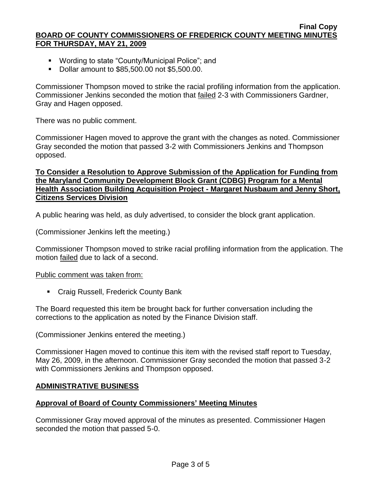#### **Final Copy BOARD OF COUNTY COMMISSIONERS OF FREDERICK COUNTY MEETING MINUTES FOR THURSDAY, MAY 21, 2009**

- Wording to state "County/Municipal Police"; and
- Dollar amount to \$85,500.00 not \$5,500.00.

Commissioner Thompson moved to strike the racial profiling information from the application. Commissioner Jenkins seconded the motion that failed 2-3 with Commissioners Gardner, Gray and Hagen opposed.

There was no public comment.

Commissioner Hagen moved to approve the grant with the changes as noted. Commissioner Gray seconded the motion that passed 3-2 with Commissioners Jenkins and Thompson opposed.

## **To Consider a Resolution to Approve Submission of the Application for Funding from the Maryland Community Development Block Grant (CDBG) Program for a Mental Health Association Building Acquisition Project - Margaret Nusbaum and Jenny Short, Citizens Services Division**

A public hearing was held, as duly advertised, to consider the block grant application.

(Commissioner Jenkins left the meeting.)

Commissioner Thompson moved to strike racial profiling information from the application. The motion failed due to lack of a second.

## Public comment was taken from:

**EXECTA** Craig Russell, Frederick County Bank

The Board requested this item be brought back for further conversation including the corrections to the application as noted by the Finance Division staff.

(Commissioner Jenkins entered the meeting.)

Commissioner Hagen moved to continue this item with the revised staff report to Tuesday, May 26, 2009, in the afternoon. Commissioner Gray seconded the motion that passed 3-2 with Commissioners Jenkins and Thompson opposed.

# **ADMINISTRATIVE BUSINESS**

## **Approval of Board of County Commissioners' Meeting Minutes**

Commissioner Gray moved approval of the minutes as presented. Commissioner Hagen seconded the motion that passed 5-0.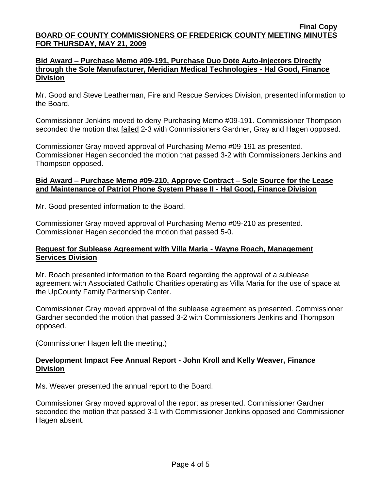## **Bid Award – Purchase Memo #09-191, Purchase Duo Dote Auto-Injectors Directly through the Sole Manufacturer, Meridian Medical Technologies - Hal Good, Finance Division**

Mr. Good and Steve Leatherman, Fire and Rescue Services Division, presented information to the Board.

Commissioner Jenkins moved to deny Purchasing Memo #09-191. Commissioner Thompson seconded the motion that **failed 2-3 with Commissioners Gardner**, Gray and Hagen opposed.

Commissioner Gray moved approval of Purchasing Memo #09-191 as presented. Commissioner Hagen seconded the motion that passed 3-2 with Commissioners Jenkins and Thompson opposed.

# **Bid Award – Purchase Memo #09-210, Approve Contract – Sole Source for the Lease and Maintenance of Patriot Phone System Phase II - Hal Good, Finance Division**

Mr. Good presented information to the Board.

Commissioner Gray moved approval of Purchasing Memo #09-210 as presented. Commissioner Hagen seconded the motion that passed 5-0.

# **Request for Sublease Agreement with Villa Maria - Wayne Roach, Management Services Division**

Mr. Roach presented information to the Board regarding the approval of a sublease agreement with Associated Catholic Charities operating as Villa Maria for the use of space at the UpCounty Family Partnership Center.

Commissioner Gray moved approval of the sublease agreement as presented. Commissioner Gardner seconded the motion that passed 3-2 with Commissioners Jenkins and Thompson opposed.

(Commissioner Hagen left the meeting.)

# **Development Impact Fee Annual Report - John Kroll and Kelly Weaver, Finance Division**

Ms. Weaver presented the annual report to the Board.

Commissioner Gray moved approval of the report as presented. Commissioner Gardner seconded the motion that passed 3-1 with Commissioner Jenkins opposed and Commissioner Hagen absent.